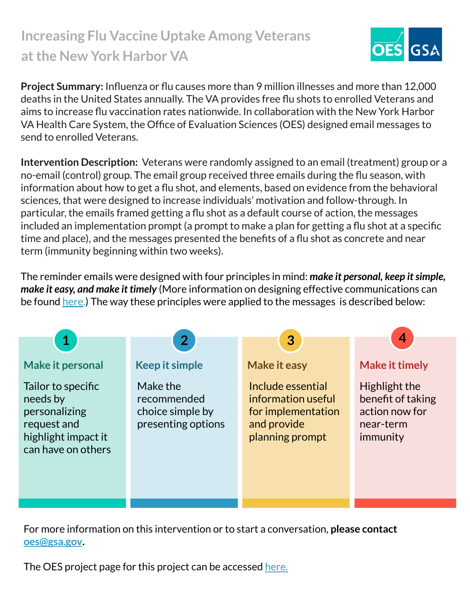## **Increasing Flu Vaccine Uptake Among Veterans at the New York Harbor VA**



**Project Summary:** Influenza or flu causes more than 9 million illnesses and more than 12,000 deaths in the United States annually. The VA provides free flu shots to enrolled Veterans and aims to increase flu vaccination rates nationwide. In collaboration with the New York Harbor VA Health Care System, the Office of Evaluation Sciences (OES) designed email messages to send to enrolled Veterans.

**Intervention Description:** Veterans were randomly assigned to an email (treatment) group or a no-email (control) group. The email group received three emails during the flu season, with information about how to get a flu shot, and elements, based on evidence from the behavioral sciences, that were designed to increase individuals' motivation and follow-through. In particular, the emails framed getting a flu shot as a default course of action, the messages included an implementation prompt (a prompt to make a plan for getting a flu shot at a specific time and place), and the messages presented the benefits of a flu shot as concrete and near term (immunity beginning within two weeks).

The reminder emails were designed with four principles in mind: *make it personal, keep it simple, make it easy, and make it timely* (More information on designing effective communications can be found [here.](https://oes.gsa.gov/assets/abstracts/OES%20Learnings%20on%20Writing%20Better%20Communications%202018.pdf)) The way these principles were applied to the messages is described below:



For more information on this intervention or to start a conversation, **please contact [oes@gsa.gov](mailto:oes@gsa.gov).**

The OES project page for this project can be accessed [here.](https://oes.gsa.gov/projects/flu-shots-va-new-york-harbor/)